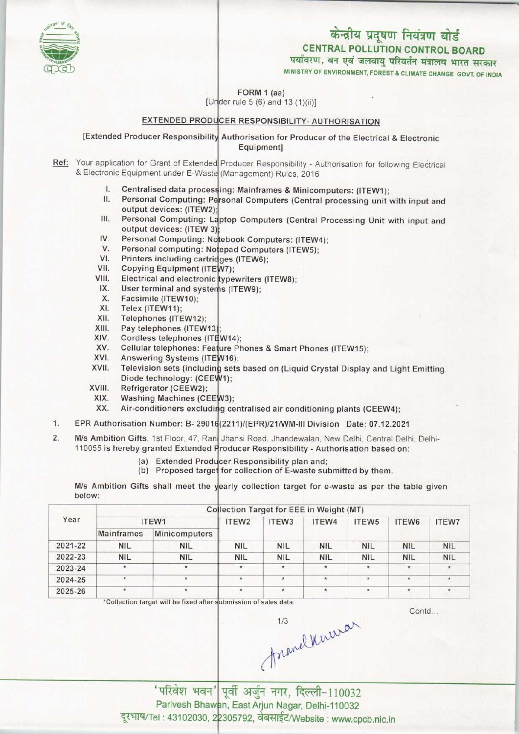

MINISTRY OF ENVIRONMENT, FOREST & CLIMATE CHANGE GOVT. OF INDIA

FORM 1 (aa)

[Under rule  $5(6)$  and  $13(1)(ii)$ ]

### <u>EXTENDED PRODUCER RESPONSIBILITY- AUTHORISATION</u>

[Extended Producer Responsibility Authorisation for Producer of the Electrical & Electronic Equipment]

Ref: Your application for Grant of Extended Producer Responsibility - Authorisation for following Electrica & Electronic Equipment under E-Waste (Management) Rules, 2016<br> **I.** Centralised data processing: Mainframes & Minico

- Centralised data processing: Mainframes & Minicomputers: (ITEW1):
- **I.** Centralised data processing: Mainframes & Minicomputers: (ITEW1);<br>II. Personal Computing: Personal Computers (Central processing unit with input and II. Personal Computing: Personal Computers (Central processing unit with input and<br>
output devices: (ITEW2);<br>
III. Personal Computing: Laptop Computers (Central Processing Unit with input and<br>
output devices: (ITEW.2). output devices: (ITEW2);
- III. Personal Computing: La<br>
output devices: (ITEW 3)<br>IV. Personal Computing: No
- output devices: (ITEW 3);<br>V. Personal Computing: Notebook Computers: (ITEW4);<br>V. Personal computing: Notepad Computers (ITEW5);<br>// Printers including contriders (ITEW6);
- Personal computing: Notepad Computers (ITEW5); IV. Personal Computing: Notebook Comp<br>V. Personal computing: Notepad Compu<br>VI. Printers including cartridges (ITEW6);<br>/II. Conving Equipment (ITEW7);
- V. Personal computing: No.<br>VI. Printers including cartric<br>VII. Copying Equipment (ITE<br>VIII. Electrical and electronic
- V7);
- ypewriters (ITEW8); VI. Printers including cart<br>VIII. Copying Equipment (IT<br>VIII. Electrical and electron III. Copying Equipment (ITE<br>III. Electrical and electronic<br>IX. User terminal and systei
- s (ITEW9);
- III. Electrical and electrical<br>X. User terminal and s<br>X. Facsimile (ITEW10);<br>X. Telex (ITEW11); IX. User terminal and sy<br>X. Facsimile (ITEW10);<br>XI. Telex (ITEW11);<br>XII. Telephones (ITEW12)
- 
- XII. Telephones (ITEW12);<br>XIII. Pay telephones (ITEW
- XIII. Pay telephones (ITEW13);<br>XIV. Cordless telephones (ITE)
- XII. Perephones (ITEW12);<br>XIII. Pay telephones (ITEW13);<br>XIV. Cordless telephones (ITEW14);
- xiii. Pay telephones (ITEW13);<br>KIV. Cordiess telephones (ITEW14);<br>XV. Cellular telephones: Feature Phones & Smart Phones (ITEW15);
- XIV. Cordiess telephones (ITEW14)<br>XV. Cellular telephones: Feature P<br>XVI. Answering Systems (ITEW16)
- Television sets (including sets based on (Liquid Crystal Display and Light Emitting. Diode technology: (CEEW1); XV. Cellular telephones: Fea<br>XVII. Answering Systems (ITE<br>XVII. Television sets (includin XVII. Feevision sets (include<br>Diode technology: (CE<br>XVIII. Refrigerator (CEEW2);<br>XIX. Washing Machines (C
- 
- XIX.Washing Machines (CEE XVIII. Refrigerator (CEEW2);<br>XIX. Washing Machines (CEEW3);<br>XX. Air-conditioners excluding ce
	- Air-conditioners excluding centralised air conditioning plants (CEEW4);
- 1. EPR Authorisation Number: B- 29016 (2211) / (EPR) / 21/WM-III Division Date: 07.12.2021
- M/s Ambition Gifts, 1st Floor, 47, Rant Jhansi Road, Jhandewalan, New Delhi, Central Delhi, Delhi- $\overline{2}$ 110055 is hereby granted Extended Producer Responsibility - Authorisation based on
	- (a) Extended Producer Responsibility plan and;<br>(b) Extended Producer Responsibility plan and;
	- (a) Extended Producer Responsibility plan and;<br>(b) Proposed target for collection of E-waste submitted by them.

M/s Ambition Gifts shall meet the yearly collection target for e-waste as per the table given below:

|         | Collection Target for EEE in Weight (MT) |               |                   |            |            |              |            |              |  |  |
|---------|------------------------------------------|---------------|-------------------|------------|------------|--------------|------------|--------------|--|--|
| Year    | ITEW1                                    |               | ITEW <sub>2</sub> | ITEW3      | ITEW4      | ITEW5        | ITEW6      | <b>ITEW7</b> |  |  |
|         | Mainframes                               | Minicomputers |                   |            |            |              |            |              |  |  |
| 2021-22 | NIL.                                     | <b>NIL</b>    | <b>NIL</b>        | <b>NIL</b> | <b>NIL</b> | <b>NIL</b>   | <b>NIL</b> | <b>NIL</b>   |  |  |
| 2022-23 | <b>NIL</b>                               | <b>NIL</b>    | <b>NIL</b>        | <b>NIL</b> | <b>NIL</b> | <b>NIL</b>   | <b>NIL</b> | <b>NIL</b>   |  |  |
| 2023-24 |                                          | $\star$       | $\star$           | $\star$    | $\star$    | $\pmb{\ast}$ | $\star$ .  |              |  |  |
| 2024-25 | $\rightarrow$                            | $\star$       | $\star$           | ٠          | $\star$    | $\star$      | $\star$    | $\star$      |  |  |
| 2025-26 |                                          | ٠             | $\star$           |            |            | $\star$      | $\star$    |              |  |  |

'Collection target will be fixed after submission of sales data

Contd...

( Tolamel Murral

Parivesh Bhawan, East Arjun Nagar, Delhi-110032 दूरभाष/Tel: 43102030, 22305792, वेबसाईट/Website : www.cpcb.nic.in

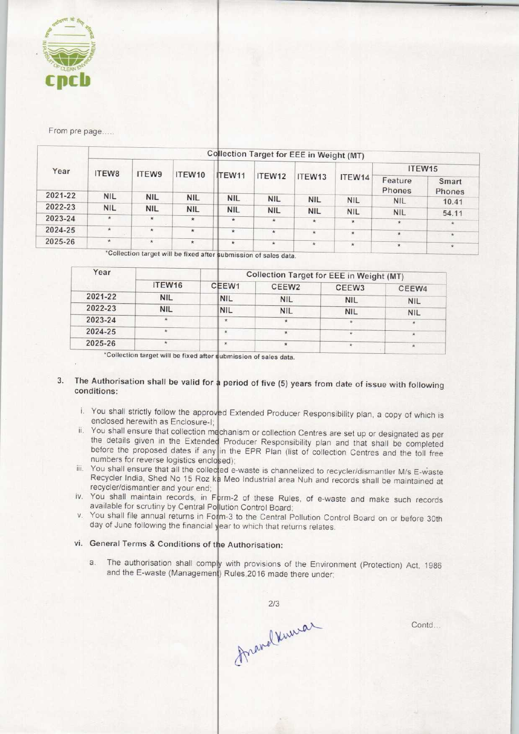

From pre page.....

| Year    | Collection Target for EEE in Weight (MT) |            |            |            |            |                    |            |                   |                 |  |  |
|---------|------------------------------------------|------------|------------|------------|------------|--------------------|------------|-------------------|-----------------|--|--|
|         | ITEW8                                    | ITEW9      | ITEW10     |            |            |                    | ITEW14     | ITEW15            |                 |  |  |
|         |                                          |            |            | ITEW11     | ITEW12     | ITEW <sub>13</sub> |            | Feature<br>Phones | Smart<br>Phones |  |  |
| 2021-22 | <b>NIL</b>                               | <b>NIL</b> | <b>NIL</b> | <b>NIL</b> | <b>NIL</b> | <b>NIL</b>         | <b>NIL</b> | <b>NIL</b>        | 10.41           |  |  |
| 2022-23 | <b>NIL</b>                               | <b>NIL</b> | <b>NIL</b> | <b>NIL</b> | <b>NIL</b> | <b>NIL</b>         | <b>NIL</b> | <b>NIL</b>        | 54.11           |  |  |
| 2023-24 | $\star$                                  | $\star$    | $\star$    | $\star$    | $\star$    | $\star$            | $\star$    | $\star$           | $\star$         |  |  |
| 2024-25 | $\star$                                  | $\star$    | $\star$    | 寅          |            |                    |            |                   |                 |  |  |
|         |                                          |            |            |            | *          | $\star$            | $\star$    | $\star$           | $\star$         |  |  |
| 2025-26 | $\star$                                  | $\star$    | $\star$    | $\star$    | $\star$    | $\star$            | $\star$    | $\star$           | $\pmb{\star}$   |  |  |

'Collection target will be fixed after submission of sales data.

| Year    |                    |               | Collection Target for EEE in Weight (MT) |                   |            |  |  |  |
|---------|--------------------|---------------|------------------------------------------|-------------------|------------|--|--|--|
|         | ITEW <sub>16</sub> | CEEW1         | CEEW <sub>2</sub>                        | CEEW <sub>3</sub> | CEEW4      |  |  |  |
| 2021-22 | <b>NIL</b>         | <b>NIL</b>    | <b>NIL</b>                               | <b>NIL</b>        | <b>NIL</b> |  |  |  |
| 2022-23 | <b>NIL</b>         | <b>NIL</b>    | <b>NIL</b>                               | <b>NIL</b>        | <b>NIL</b> |  |  |  |
| 2023-24 | $\star$            | $\star$       |                                          |                   |            |  |  |  |
| 2024-25 |                    | 寒             |                                          | $\star$           | $\star$    |  |  |  |
| 2025-26 |                    | $\mathcal{H}$ |                                          |                   |            |  |  |  |

\*Collection target will be fixed after submission of sales data.

# 3. The Authorisation shall be valid for a period of five (5) years from date of issue with following conditions:

- i. You shall strictly follow the approved Extended Producer Responsibility plan, a copy of which is enclosed herewith as Enclosure-I;
- ii. You shall ensure that collection mechanism or collection Centres are set up or designated as per the details given in the Extended Producer Responsibility plan and that shall be completed before the proposed dates if any in the EPR Plan (list of collection Centres and the toll free numbers for reverse logistics enclosed);
- iii. You shall ensure that all the collected e-waste is channelized to recycler/dismantler M/s E-waste Recycler India, Shed No 15 Roz ka Meo Industrial area Nuh and records shall be maintained at recycler/dismantler and your end;
- iv. You shall maintain records, in Form-2 of these Rules, of e-waste and make such records available for scrutiny by Central Pollution Control Board
- v. You shall file annual returns in Form-3 to the Central Pollution Control Board on or before 30th day of June following the financial year to which that returns relates
- vi. General Terms & Conditions of the Authorisation:
	- a. The authorisation shall comply with provisions of the Environment (Protection) Act, 1986 and the E-waste (Management) Rules, 2016 made there under

 $2/3$ Franchward

Contd...